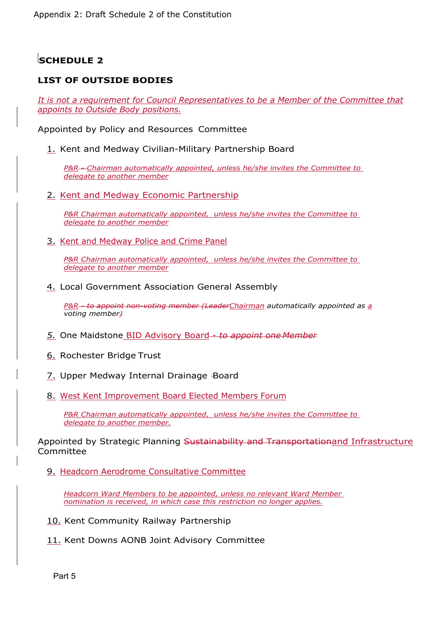## **SCHEDULE 2**

## **LIST OF OUTSIDE BODIES**

*It is not a requirement for Council Representatives to be a Member of the Committee that appoints to Outside Body positions.*

Appointed by Policy and Resources Committee

1. Kent and Medway Civilian-Military Partnership Board

*P&R - Chairman automatically appointed, unless he/she invites the Committee to delegate to another member*

2. Kent and Medway Economic Partnership

*P&R Chairman automatically appointed, unless he/she invites the Committee to delegate to another member*

3. Kent and Medway Police and Crime Panel

*P&R Chairman automatically appointed, unless he/she invites the Committee to delegate to another member*

## 4. Local Government Association General Assembly

*P&R - to appoint non-voting member (LeaderChairman automatically appointed as a voting member)*

- *5.* One Maidstone BID Advisory Board *to appoint one Member*
- 6. Rochester Bridge Trust
- 7. Upper Medway Internal Drainage Board
- 8. West Kent Improvement Board Elected Members Forum

*P&R Chairman automatically appointed, unless he/she invites the Committee to delegate to another member.*

Appointed by Strategic Planning Sustainability and Transportationand Infrastructure Committee

9. Headcorn Aerodrome Consultative Committee

*Headcorn Ward Members to be appointed, unless no relevant Ward Member nomination is received, in which case this restriction no longer applies.*

10. Kent Community Railway Partnership

11. Kent Downs AONB Joint Advisory Committee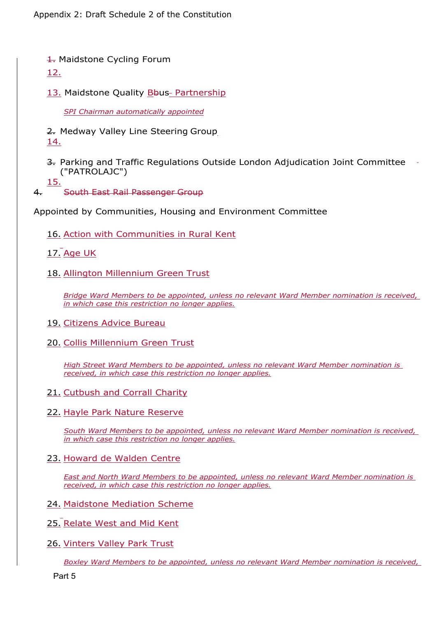Appendix 2: Draft Schedule 2 of the Constitution

1. Maidstone Cycling Forum

## 12.

13. Maidstone Quality Bbus- Partnership

*SPI Chairman automatically appointed*

- 2. Medway Valley Line Steering Group 14.
- 3. Parking and Traffic Regulations Outside London Adjudication Joint Committee ("PATROLAJC")
- 15.

4. South East Rail Passenger Group

Appointed by Communities, Housing and Environment Committee

- 16. Action with Communities in Rural Kent
- 17. Age UK
- 18. Allington Millennium Green Trust

*Bridge Ward Members to be appointed, unless no relevant Ward Member nomination is received, in which case this restriction no longer applies.*

- 19. Citizens Advice Bureau
- 20. Collis Millennium Green Trust

*High Street Ward Members to be appointed, unless no relevant Ward Member nomination is received, in which case this restriction no longer applies.*

- 21. Cutbush and Corrall Charity
- 22. Hayle Park Nature Reserve

*South Ward Members to be appointed, unless no relevant Ward Member nomination is received, in which case this restriction no longer applies.*

23. Howard de Walden Centre

*East and North Ward Members to be appointed, unless no relevant Ward Member nomination is received, in which case this restriction no longer applies.*

- 24. Maidstone Mediation Scheme
- 25. Relate West and Mid Kent
- 26. Vinters Valley Park Trust

*Boxley Ward Members to be appointed, unless no relevant Ward Member nomination is received,*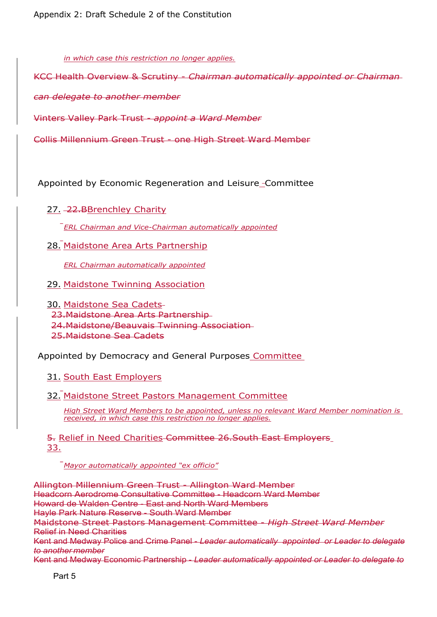*in which case this restriction no longer applies.*

KCC Health Overview & Scrutiny - *Chairman automatically appointed or Chairman*

*can delegate to another member*

Vinters Valley Park Trust - *appoint a Ward Member*

Collis Millennium Green Trust - one High Street Ward Member

Appointed by Economic Regeneration and Leisure Committee

27. 22.BBrenchley Charity

*ERL Chairman and Vice-Chairman automatically appointed*

28. Maidstone Area Arts Partnership

*ERL Chairman automatically appointed*

29. Maidstone Twinning Association

30. Maidstone Sea Cadets 23.Maidstone Area Arts Partnership 24.Maidstone/Beauvais Twinning Association 25.Maidstone Sea Cadets

Appointed by Democracy and General Purposes Committee

31. South East Employers

32. Maidstone Street Pastors Management Committee

*High Street Ward Members to be appointed, unless no relevant Ward Member nomination is received, in which case this restriction no longer applies.*

5. Relief in Need Charities Committee 26.South East Employers 33.

*Mayor automatically appointed "ex officio"*

Allington Millennium Green Trust - Allington Ward Member Headcorn Aerodrome Consultative Committee - Headcorn Ward Member Howard de Walden Centre - East and North Ward Members Hayle Park Nature Reserve - South Ward Member Maidstone Street Pastors Management Committee - *High Street Ward Member* Relief in Need Charities Kent and Medway Police and Crime Panel - *Leader automatically appointed or Leader to delegate to another member* Kent and Medway Economic Partnership - *Leader automatically appointed or Leader to delegate to*